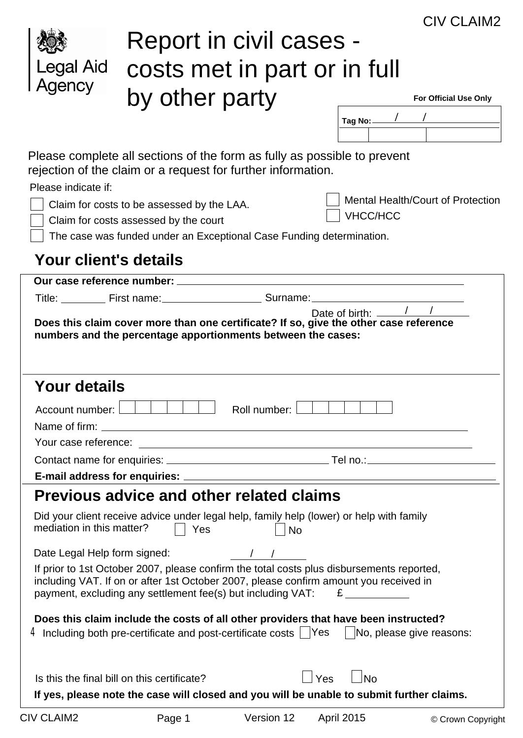|                            |                                                                                                                                                                                                                                                                                                         |              |                   | CIV CLAIM2                        |
|----------------------------|---------------------------------------------------------------------------------------------------------------------------------------------------------------------------------------------------------------------------------------------------------------------------------------------------------|--------------|-------------------|-----------------------------------|
|                            | Report in civil cases -                                                                                                                                                                                                                                                                                 |              |                   |                                   |
|                            |                                                                                                                                                                                                                                                                                                         |              |                   |                                   |
| <b>Legal Aid</b>           | costs met in part or in full                                                                                                                                                                                                                                                                            |              |                   |                                   |
| Agency                     | by other party                                                                                                                                                                                                                                                                                          |              |                   | <b>For Official Use Only</b>      |
|                            |                                                                                                                                                                                                                                                                                                         |              | Tag No:-          |                                   |
|                            |                                                                                                                                                                                                                                                                                                         |              |                   |                                   |
| Please indicate if:        | Please complete all sections of the form as fully as possible to prevent<br>rejection of the claim or a request for further information.<br>Claim for costs to be assessed by the LAA.<br>Claim for costs assessed by the court<br>The case was funded under an Exceptional Case Funding determination. |              | <b>VHCC/HCC</b>   | Mental Health/Court of Protection |
| Your client's details      |                                                                                                                                                                                                                                                                                                         |              |                   |                                   |
| Our case reference number: |                                                                                                                                                                                                                                                                                                         |              |                   |                                   |
|                            | Title: First name: Surname:                                                                                                                                                                                                                                                                             |              |                   |                                   |
|                            | Does this claim cover more than one certificate? If so, give the other case reference<br>numbers and the percentage apportionments between the cases:                                                                                                                                                   |              | Date of birth: __ |                                   |
| <b>Your details</b>        |                                                                                                                                                                                                                                                                                                         |              |                   |                                   |
|                            |                                                                                                                                                                                                                                                                                                         | Roll number: |                   |                                   |
|                            |                                                                                                                                                                                                                                                                                                         |              |                   |                                   |
|                            |                                                                                                                                                                                                                                                                                                         |              |                   |                                   |
|                            |                                                                                                                                                                                                                                                                                                         |              |                   |                                   |
|                            |                                                                                                                                                                                                                                                                                                         |              |                   |                                   |
|                            | <b>Previous advice and other related claims</b>                                                                                                                                                                                                                                                         |              |                   |                                   |
| mediation in this matter?  | Did your client receive advice under legal help, family help (lower) or help with family<br>Yes<br>$\perp$                                                                                                                                                                                              | $ $ No       |                   |                                   |
|                            | Date Legal Help form signed: / / /                                                                                                                                                                                                                                                                      |              |                   |                                   |
|                            | If prior to 1st October 2007, please confirm the total costs plus disbursements reported,<br>including VAT. If on or after 1st October 2007, please confirm amount you received in                                                                                                                      |              |                   |                                   |
|                            | Does this claim include the costs of all other providers that have been instructed?<br>4 Including both pre-certificate and post-certificate costs $\Box$ Yes $\Box$ No, please give reasons:                                                                                                           |              |                   |                                   |
|                            | Is this the final bill on this certificate?<br>If yes, please note the case will closed and you will be unable to submit further claims.                                                                                                                                                                | Yes          | No                |                                   |
| <b>CIV CLAIM2</b>          | Page 1                                                                                                                                                                                                                                                                                                  | Version 12   | <b>April 2015</b> | © Crown Copyright                 |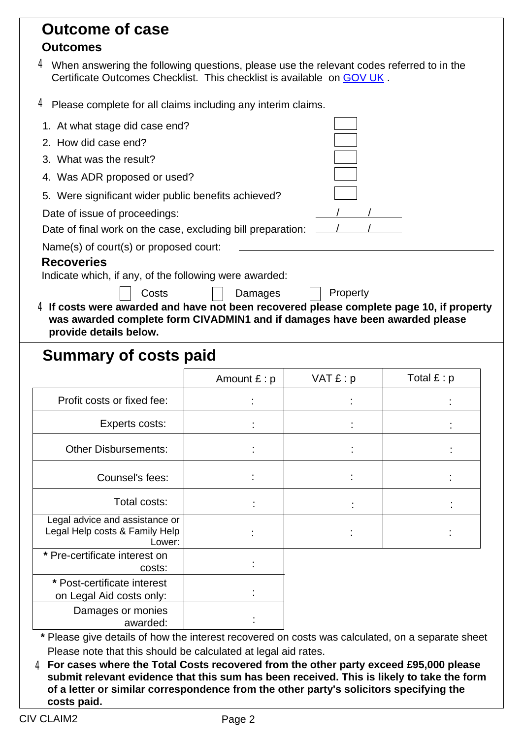| <b>Outcome of case</b>                                                                                                                                                 |                |          |                 |
|------------------------------------------------------------------------------------------------------------------------------------------------------------------------|----------------|----------|-----------------|
| <b>Outcomes</b>                                                                                                                                                        |                |          |                 |
| $4$ When answering the following questions, please use the relevant codes referred to in the<br>Certificate Outcomes Checklist. This checklist is available on GOV UK. |                |          |                 |
| $4$ Please complete for all claims including any interim claims.                                                                                                       |                |          |                 |
| 1. At what stage did case end?                                                                                                                                         |                |          |                 |
| 2. How did case end?                                                                                                                                                   |                |          |                 |
| 3. What was the result?                                                                                                                                                |                |          |                 |
| 4. Was ADR proposed or used?                                                                                                                                           |                |          |                 |
| 5. Were significant wider public benefits achieved?                                                                                                                    |                |          |                 |
| Date of issue of proceedings:                                                                                                                                          |                |          |                 |
| Date of final work on the case, excluding bill preparation:                                                                                                            |                |          |                 |
| Name(s) of court(s) or proposed court:                                                                                                                                 |                |          |                 |
| <b>Recoveries</b>                                                                                                                                                      |                |          |                 |
| Indicate which, if any, of the following were awarded:                                                                                                                 |                |          |                 |
| Costs<br>$4$ If costs were awarded and have not been recovered please complete page 10, if property                                                                    | Damages        | Property |                 |
| was awarded complete form CIVADMIN1 and if damages have been awarded please                                                                                            |                |          |                 |
| provide details below.                                                                                                                                                 |                |          |                 |
| <b>Summary of costs paid</b>                                                                                                                                           |                |          |                 |
|                                                                                                                                                                        | Amount $E : p$ | VAT E: p | Total $f$ : $p$ |
| Profit costs or fixed fee:                                                                                                                                             |                |          |                 |
| Experts costs:                                                                                                                                                         |                |          |                 |
| <b>Other Disbursements:</b>                                                                                                                                            |                |          |                 |
| Counsel's fees:                                                                                                                                                        |                |          |                 |
| Total costs:                                                                                                                                                           |                |          |                 |
| Legal advice and assistance or<br>Legal Help costs & Family Help<br>Lower:                                                                                             |                |          |                 |
| * Pre-certificate interest on<br>costs:                                                                                                                                |                |          |                 |
| * Post-certificate interest<br>on Legal Aid costs only:                                                                                                                |                |          |                 |
| Damages or monies<br>awarded:                                                                                                                                          |                |          |                 |
| * Please give details of how the interest recovered on costs was calculated, on a separate sheet                                                                       |                |          |                 |

Please note that this should be calculated at legal aid rates.

**For cases where the Total Costs recovered from the other party exceed £95,000 please** 4 **submit relevant evidence that this sum has been received. This is likely to take the form of a letter or similar correspondence from the other party's solicitors specifying the costs paid.**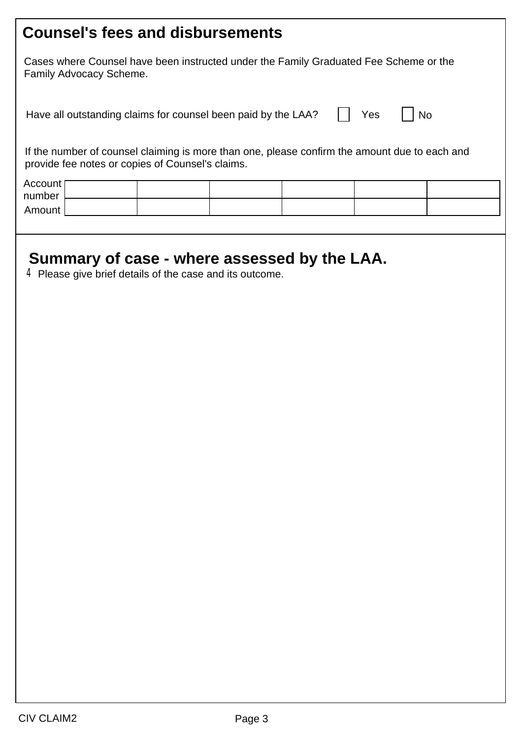| <b>Counsel's fees and disbursements</b>                                                                                                           |  |  |  |  |  |  |  |  |
|---------------------------------------------------------------------------------------------------------------------------------------------------|--|--|--|--|--|--|--|--|
| Cases where Counsel have been instructed under the Family Graduated Fee Scheme or the<br>Family Advocacy Scheme.                                  |  |  |  |  |  |  |  |  |
| Yes<br>Have all outstanding claims for counsel been paid by the LAA?<br><b>No</b>                                                                 |  |  |  |  |  |  |  |  |
| If the number of counsel claiming is more than one, please confirm the amount due to each and<br>provide fee notes or copies of Counsel's claims. |  |  |  |  |  |  |  |  |
| Account<br>number<br>Amount                                                                                                                       |  |  |  |  |  |  |  |  |
| Summary of case - where assessed by the LAA.<br>$4$ Please give brief details of the case and its outcome.                                        |  |  |  |  |  |  |  |  |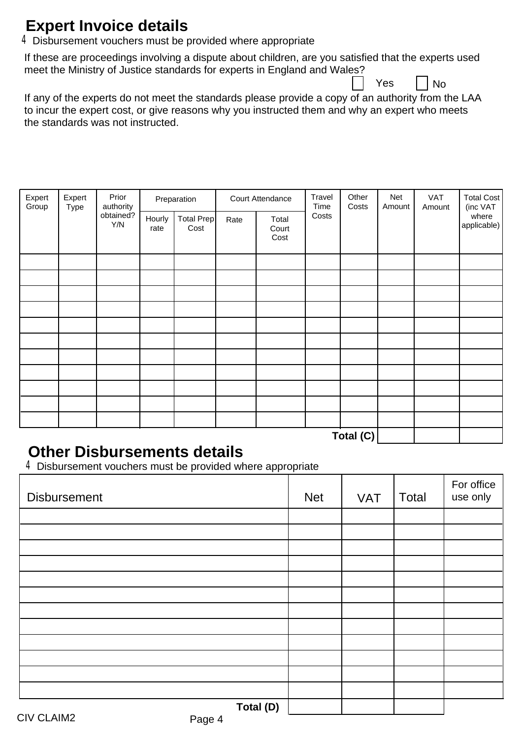### **Expert Invoice details**

4 Disbursement vouchers must be provided where appropriate

If these are proceedings involving a dispute about children, are you satisfied that the experts used meet the Ministry of Justice standards for experts in England and Wales?

Yes  $\vert \vert N_0 \vert$ 

If any of the experts do not meet the standards please provide a copy of an authority from the LAA to incur the expert cost, or give reasons why you instructed them and why an expert who meets the standards was not instructed.

| Expert<br>Group<br>Type | Expert | Prior<br>authority | Preparation    |                    |      | Court Attendance       |       | Other<br>Costs          | Net<br>Amount | VAT<br>Amount | Total Cost<br>(inc VAT |
|-------------------------|--------|--------------------|----------------|--------------------|------|------------------------|-------|-------------------------|---------------|---------------|------------------------|
|                         |        | obtained?<br>Y/N   | Hourly<br>rate | Total Prep<br>Cost | Rate | Total<br>Court<br>Cost | Costs |                         |               |               | where<br>applicable)   |
|                         |        |                    |                |                    |      |                        |       |                         |               |               |                        |
|                         |        |                    |                |                    |      |                        |       |                         |               |               |                        |
|                         |        |                    |                |                    |      |                        |       |                         |               |               |                        |
|                         |        |                    |                |                    |      |                        |       |                         |               |               |                        |
|                         |        |                    |                |                    |      |                        |       |                         |               |               |                        |
|                         |        |                    |                |                    |      |                        |       |                         |               |               |                        |
|                         |        |                    |                |                    |      |                        |       |                         |               |               |                        |
|                         |        |                    |                |                    |      |                        |       |                         |               |               |                        |
|                         |        |                    |                |                    |      |                        |       |                         |               |               |                        |
|                         |        |                    |                |                    |      |                        |       |                         |               |               |                        |
|                         |        |                    |                |                    |      |                        |       | $T - 1 - 1$ ( $\bigcap$ |               |               |                        |

**Total (C)**

#### **Other Disbursements details**

4Disbursement vouchers must be provided where appropriate

| <b>Disbursement</b> | <b>Net</b> | <b>VAT</b> | Total | For office<br>use only |
|---------------------|------------|------------|-------|------------------------|
|                     |            |            |       |                        |
|                     |            |            |       |                        |
|                     |            |            |       |                        |
|                     |            |            |       |                        |
|                     |            |            |       |                        |
|                     |            |            |       |                        |
|                     |            |            |       |                        |
|                     |            |            |       |                        |
|                     |            |            |       |                        |
|                     |            |            |       |                        |
|                     |            |            |       |                        |
|                     |            |            |       |                        |
| Total (D)           |            |            |       |                        |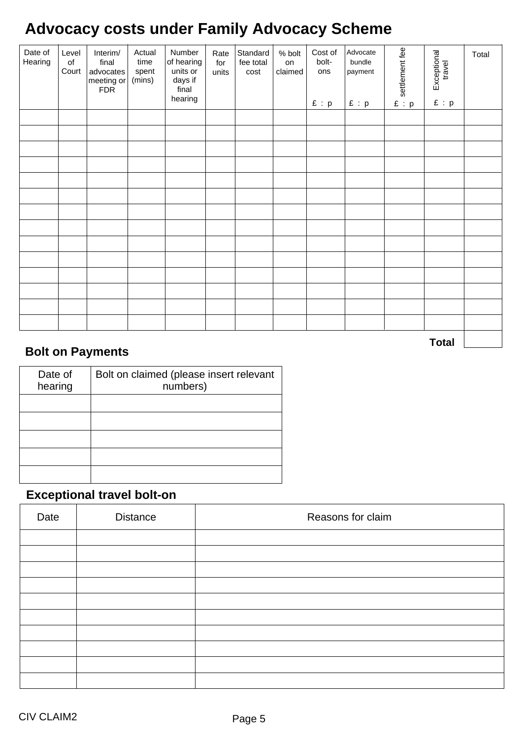## **Advocacy costs under Family Advocacy Scheme**

| Date of<br>Hearing | Level<br>$\circ$ f<br>Court | Interim/<br>final<br>advocates<br>meeting or<br><b>FDR</b> | Actual<br>time<br>spent<br>(mins) | Number<br>of hearing<br>units or<br>days if<br>final<br>hearing | Rate<br>for<br>units | Standard<br>fee total<br>cost | % bolt<br>on<br>claimed | Cost of<br>bolt-<br>ons<br>E : p | Advocate<br>bundle<br>payment<br>E : p | settlement fee<br>E : p | Exceptional<br>travel<br>$\pounds$ : $p$ | Total |
|--------------------|-----------------------------|------------------------------------------------------------|-----------------------------------|-----------------------------------------------------------------|----------------------|-------------------------------|-------------------------|----------------------------------|----------------------------------------|-------------------------|------------------------------------------|-------|
|                    |                             |                                                            |                                   |                                                                 |                      |                               |                         |                                  |                                        |                         |                                          |       |
|                    |                             |                                                            |                                   |                                                                 |                      |                               |                         |                                  |                                        |                         |                                          |       |
|                    |                             |                                                            |                                   |                                                                 |                      |                               |                         |                                  |                                        |                         |                                          |       |
|                    |                             |                                                            |                                   |                                                                 |                      |                               |                         |                                  |                                        |                         |                                          |       |
|                    |                             |                                                            |                                   |                                                                 |                      |                               |                         |                                  |                                        |                         |                                          |       |
|                    |                             |                                                            |                                   |                                                                 |                      |                               |                         |                                  |                                        |                         |                                          |       |
|                    |                             |                                                            |                                   |                                                                 |                      |                               |                         |                                  |                                        |                         |                                          |       |
|                    |                             |                                                            |                                   |                                                                 |                      |                               |                         |                                  |                                        |                         |                                          |       |
|                    |                             |                                                            |                                   |                                                                 |                      |                               |                         |                                  |                                        |                         |                                          |       |
|                    |                             |                                                            |                                   |                                                                 |                      |                               |                         |                                  |                                        |                         |                                          |       |
|                    |                             |                                                            |                                   |                                                                 |                      |                               |                         |                                  |                                        |                         |                                          |       |
|                    |                             |                                                            |                                   |                                                                 |                      |                               |                         |                                  |                                        |                         |                                          |       |
|                    |                             |                                                            |                                   |                                                                 |                      |                               |                         |                                  |                                        |                         |                                          |       |
|                    |                             |                                                            |                                   |                                                                 |                      |                               |                         |                                  |                                        |                         |                                          |       |
|                    |                             |                                                            |                                   |                                                                 |                      |                               |                         |                                  |                                        |                         | <b>Total</b>                             |       |

#### **Bolt on Payments**

| Date of<br>hearing | Bolt on claimed (please insert relevant<br>numbers) |
|--------------------|-----------------------------------------------------|
|                    |                                                     |
|                    |                                                     |
|                    |                                                     |
|                    |                                                     |
|                    |                                                     |

#### **Exceptional travel bolt-on**

| Date | <b>Distance</b> | Reasons for claim |
|------|-----------------|-------------------|
|      |                 |                   |
|      |                 |                   |
|      |                 |                   |
|      |                 |                   |
|      |                 |                   |
|      |                 |                   |
|      |                 |                   |
|      |                 |                   |
|      |                 |                   |
|      |                 |                   |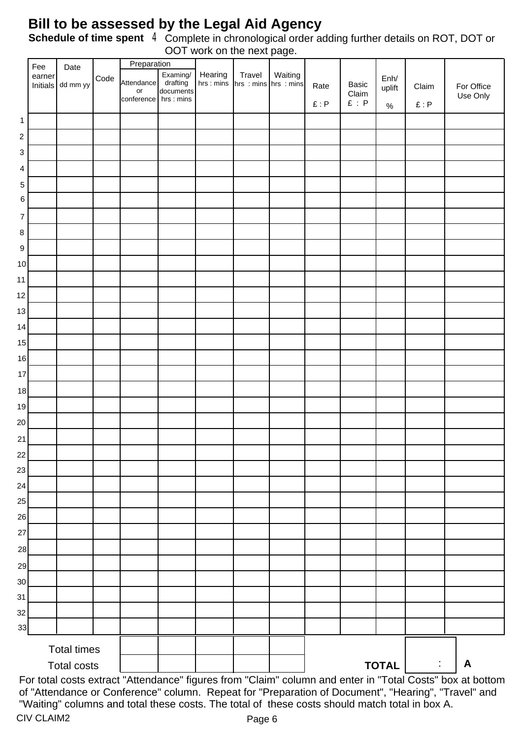#### **Bill to be assessed by the Legal Aid Agency**

Complete in chronological order adding further details on ROT, DOT or OOT work on the next page. **Schedule of time spent** 4

|                | Fee                | Date               |      | Preparation      |                                   |                      |                                    |         |      |                |                |                      |                                                                                                                                                                                                                  |
|----------------|--------------------|--------------------|------|------------------|-----------------------------------|----------------------|------------------------------------|---------|------|----------------|----------------|----------------------|------------------------------------------------------------------------------------------------------------------------------------------------------------------------------------------------------------------|
|                | earner<br>Initials | dd mm yy           | Code | Attendance<br>or | Examing/<br>drafting<br>documents | Hearing<br>hrs: mins | Travel<br>$hrs: mins$   hrs : mins | Waiting | Rate | Basic<br>Claim | Enh/<br>uplift | Claim                | For Office<br>Use Only                                                                                                                                                                                           |
|                |                    |                    |      | conference       | hrs : mins                        |                      |                                    |         | E: P | $E$ : $P$      | $\%$           | E: P                 |                                                                                                                                                                                                                  |
| 1              |                    |                    |      |                  |                                   |                      |                                    |         |      |                |                |                      |                                                                                                                                                                                                                  |
| $\sqrt{2}$     |                    |                    |      |                  |                                   |                      |                                    |         |      |                |                |                      |                                                                                                                                                                                                                  |
| 3              |                    |                    |      |                  |                                   |                      |                                    |         |      |                |                |                      |                                                                                                                                                                                                                  |
| 4              |                    |                    |      |                  |                                   |                      |                                    |         |      |                |                |                      |                                                                                                                                                                                                                  |
| $\mathbf 5$    |                    |                    |      |                  |                                   |                      |                                    |         |      |                |                |                      |                                                                                                                                                                                                                  |
| 6              |                    |                    |      |                  |                                   |                      |                                    |         |      |                |                |                      |                                                                                                                                                                                                                  |
| $\overline{7}$ |                    |                    |      |                  |                                   |                      |                                    |         |      |                |                |                      |                                                                                                                                                                                                                  |
| 8              |                    |                    |      |                  |                                   |                      |                                    |         |      |                |                |                      |                                                                                                                                                                                                                  |
| 9              |                    |                    |      |                  |                                   |                      |                                    |         |      |                |                |                      |                                                                                                                                                                                                                  |
| $10$           |                    |                    |      |                  |                                   |                      |                                    |         |      |                |                |                      |                                                                                                                                                                                                                  |
| 11             |                    |                    |      |                  |                                   |                      |                                    |         |      |                |                |                      |                                                                                                                                                                                                                  |
| 12             |                    |                    |      |                  |                                   |                      |                                    |         |      |                |                |                      |                                                                                                                                                                                                                  |
| 13             |                    |                    |      |                  |                                   |                      |                                    |         |      |                |                |                      |                                                                                                                                                                                                                  |
| 14             |                    |                    |      |                  |                                   |                      |                                    |         |      |                |                |                      |                                                                                                                                                                                                                  |
| 15             |                    |                    |      |                  |                                   |                      |                                    |         |      |                |                |                      |                                                                                                                                                                                                                  |
| $16\,$         |                    |                    |      |                  |                                   |                      |                                    |         |      |                |                |                      |                                                                                                                                                                                                                  |
| 17             |                    |                    |      |                  |                                   |                      |                                    |         |      |                |                |                      |                                                                                                                                                                                                                  |
| 18             |                    |                    |      |                  |                                   |                      |                                    |         |      |                |                |                      |                                                                                                                                                                                                                  |
| 19             |                    |                    |      |                  |                                   |                      |                                    |         |      |                |                |                      |                                                                                                                                                                                                                  |
| 20             |                    |                    |      |                  |                                   |                      |                                    |         |      |                |                |                      |                                                                                                                                                                                                                  |
| 21             |                    |                    |      |                  |                                   |                      |                                    |         |      |                |                |                      |                                                                                                                                                                                                                  |
| 22             |                    |                    |      |                  |                                   |                      |                                    |         |      |                |                |                      |                                                                                                                                                                                                                  |
| 23             |                    |                    |      |                  |                                   |                      |                                    |         |      |                |                |                      |                                                                                                                                                                                                                  |
| 24             |                    |                    |      |                  |                                   |                      |                                    |         |      |                |                |                      |                                                                                                                                                                                                                  |
| 25             |                    |                    |      |                  |                                   |                      |                                    |         |      |                |                |                      |                                                                                                                                                                                                                  |
| 26             |                    |                    |      |                  |                                   |                      |                                    |         |      |                |                |                      |                                                                                                                                                                                                                  |
| 27             |                    |                    |      |                  |                                   |                      |                                    |         |      |                |                |                      |                                                                                                                                                                                                                  |
| 28             |                    |                    |      |                  |                                   |                      |                                    |         |      |                |                |                      |                                                                                                                                                                                                                  |
| 29             |                    |                    |      |                  |                                   |                      |                                    |         |      |                |                |                      |                                                                                                                                                                                                                  |
| 30             |                    |                    |      |                  |                                   |                      |                                    |         |      |                |                |                      |                                                                                                                                                                                                                  |
| 31             |                    |                    |      |                  |                                   |                      |                                    |         |      |                |                |                      |                                                                                                                                                                                                                  |
| 32             |                    |                    |      |                  |                                   |                      |                                    |         |      |                |                |                      |                                                                                                                                                                                                                  |
| 33             |                    |                    |      |                  |                                   |                      |                                    |         |      |                |                |                      |                                                                                                                                                                                                                  |
|                |                    | <b>Total times</b> |      |                  |                                   |                      |                                    |         |      |                |                |                      |                                                                                                                                                                                                                  |
|                |                    | <b>Total costs</b> |      |                  |                                   |                      |                                    |         |      |                | TOTAL          | $\ddot{\phantom{a}}$ | $\mathbf{A}$                                                                                                                                                                                                     |
|                |                    |                    |      |                  |                                   |                      |                                    |         |      |                |                |                      | For total costs extract "Attendance" figures from "Claim" column and enter in "Total Costs" box at bottom<br>of "Attendance an Orafarance" schware. Depent for "Dragonting of Desument". "Hearing". "Travel" and |

CIV CLAIM2 Page 6 of "Attendance or Conference" column. Repeat for "Preparation of Document", "Hearing", "Travel" and "Waiting" columns and total these costs. The total of these costs should match total in box A.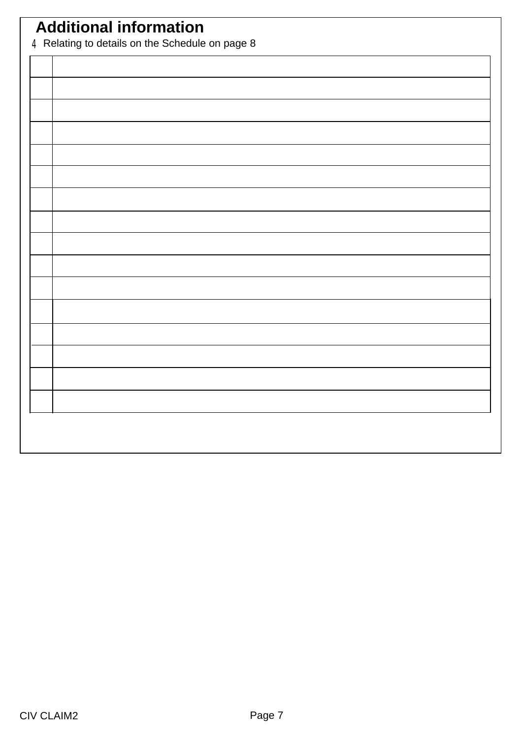# **Additional information**

4Relating to details on the Schedule on page 8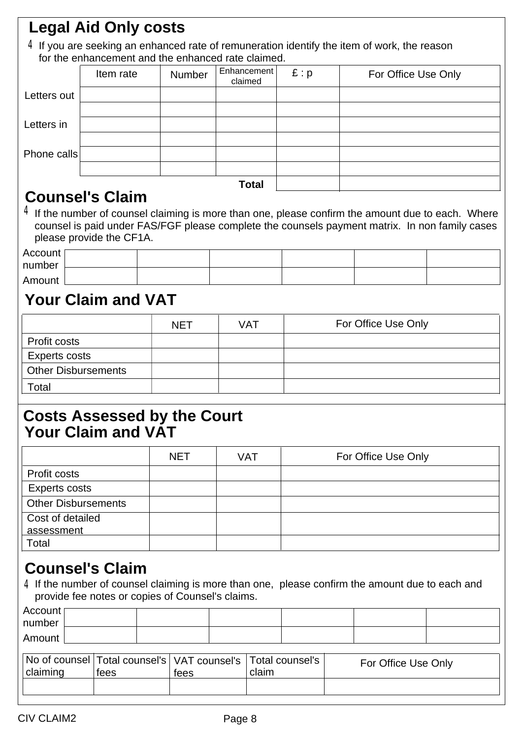## **Legal Aid Only costs**

 $4$  If you are seeking an enhanced rate of remuneration identify the item of work, the reason for the enhancement and the enhanced rate claimed.

|             | Item rate | Number | Enhancement<br>claimed | E: p | For Office Use Only |
|-------------|-----------|--------|------------------------|------|---------------------|
| Letters out |           |        |                        |      |                     |
|             |           |        |                        |      |                     |
| Letters in  |           |        |                        |      |                     |
|             |           |        |                        |      |                     |
| Phone calls |           |        |                        |      |                     |
|             |           |        |                        |      |                     |
|             |           |        | <b>Total</b>           |      |                     |

### **Counsel's Claim**

 $4$  If the number of counsel claiming is more than one, please confirm the amount due to each. Where counsel is paid under FAS/FGF please complete the counsels payment matrix. In non family cases please provide the CF1A.

| Account [ |  |  |  |
|-----------|--|--|--|
| number    |  |  |  |
|           |  |  |  |
| Amount    |  |  |  |

### **Your Claim and VAT**

|                            | <b>NET</b> | VAT | For Office Use Only |
|----------------------------|------------|-----|---------------------|
| <b>Profit costs</b>        |            |     |                     |
| Experts costs              |            |     |                     |
| <b>Other Disbursements</b> |            |     |                     |
| Total                      |            |     |                     |

#### **Your Claim and VAT Costs Assessed by the Court**

|                            | <b>NET</b> | <b>VAT</b> | For Office Use Only |
|----------------------------|------------|------------|---------------------|
| Profit costs               |            |            |                     |
| <b>Experts costs</b>       |            |            |                     |
| <b>Other Disbursements</b> |            |            |                     |
| Cost of detailed           |            |            |                     |
| assessment                 |            |            |                     |
| Total                      |            |            |                     |

### **Counsel's Claim**

4 If the number of counsel claiming is more than one, please confirm the amount due to each and provide fee notes or copies of Counsel's claims.

| number<br>Amount | Account [ |  |  |  |
|------------------|-----------|--|--|--|
|                  |           |  |  |  |
|                  |           |  |  |  |

| claiming | tees | tees | No of counsel   Total counsel's   VAT counsel's   Total counsel's  <br>claim | For Office Use Only |
|----------|------|------|------------------------------------------------------------------------------|---------------------|
|          |      |      |                                                                              |                     |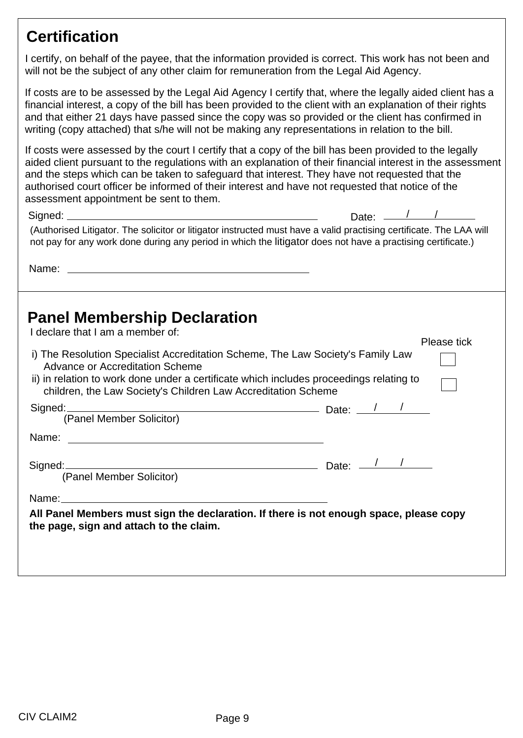### **Certification**

I certify, on behalf of the payee, that the information provided is correct. This work has not been and will not be the subject of any other claim for remuneration from the Legal Aid Agency.

If costs are to be assessed by the Legal Aid Agency I certify that, where the legally aided client has a financial interest, a copy of the bill has been provided to the client with an explanation of their rights and that either 21 days have passed since the copy was so provided or the client has confirmed in writing (copy attached) that s/he will not be making any representations in relation to the bill.

If costs were assessed by the court I certify that a copy of the bill has been provided to the legally aided client pursuant to the regulations with an explanation of their financial interest in the assessment and the steps which can be taken to safeguard that interest. They have not requested that the authorised court officer be informed of their interest and have not requested that notice of the assessment appointment be sent to them.

| Signed: $\frac{1}{2}$ Signed:                                                                                                                                                                                                                                                         | Date: $\_\_$ |
|---------------------------------------------------------------------------------------------------------------------------------------------------------------------------------------------------------------------------------------------------------------------------------------|--------------|
| (Authorised Litigator. The solicitor or litigator instructed must have a valid practising certificate. The LAA will<br>not pay for any work done during any period in which the litigator does not have a practising certificate.)                                                    |              |
|                                                                                                                                                                                                                                                                                       |              |
| <b>Panel Membership Declaration</b><br>I declare that I am a member of:                                                                                                                                                                                                               |              |
|                                                                                                                                                                                                                                                                                       | Please tick  |
| i) The Resolution Specialist Accreditation Scheme, The Law Society's Family Law<br><b>Advance or Accreditation Scheme</b><br>ii) in relation to work done under a certificate which includes proceedings relating to<br>children, the Law Society's Children Law Accreditation Scheme |              |
| Signed: <u>2000 - 2000</u> Date: 2000 Date: 2000 Date: 2000 Date: 2000 Date: 2000 Date: 2000 Date: 2000 Date: 2000 Date: 2000 Date: 2000 Date: 2000 Date: 2000 Date: 2000 Date: 2000 Date: 2000 Date: 2000 Date: 2000 Date: 2000 Da<br>(Panel Member Solicitor)                       |              |
|                                                                                                                                                                                                                                                                                       |              |
| Signed: Signed: Canal Member Solicitor) Date: 2010 2010: 2010                                                                                                                                                                                                                         |              |
|                                                                                                                                                                                                                                                                                       |              |
| All Panel Members must sign the declaration. If there is not enough space, please copy<br>the page, sign and attach to the claim.                                                                                                                                                     |              |
|                                                                                                                                                                                                                                                                                       |              |